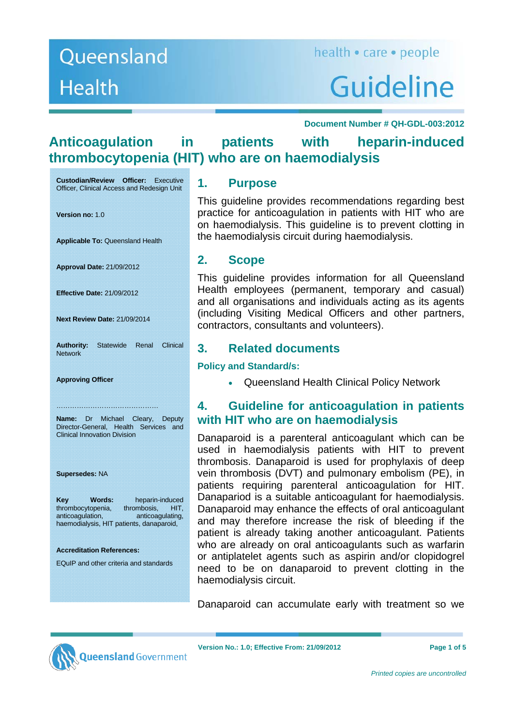# Guideline

 **Document Number # QH-GDL-003:2012** 

# **Anticoagulation in patients with heparin-induced thrombocytopenia (HIT) who are on haemodialysis**

**Custodian/Review Officer:** Executive Officer, Clinical Access and Redesign Unit

**Version no:** 1.0

**Applicable To:** Queensland Health

**Approval Date:** 21/09/2012

**Effective Date:** 21/09/2012

**Next Review Date:** 21/09/2014

**Authority:** Statewide Renal Clinical **Network** 

**Approving Officer** 

**Name:** Dr Michael Cleary, Deputy Director-General, Health Services and Clinical Innovation Division

………………………………………

**Supersedes:** NA

**Key Words:** heparin-induced<br>thrombocytopenia. thrombosis. HIT. thrombocytopenia, thrombosis, anticoagulation, anticoagulating, haemodialysis, HIT patients, danaparoid,

#### **Accreditation References:**

EQuIP and other criteria and standards

### **1. Purpose**

This guideline provides recommendations regarding best practice for anticoagulation in patients with HIT who are on haemodialysis. This guideline is to prevent clotting in the haemodialysis circuit during haemodialysis.

## **2. Scope**

This guideline provides information for all Queensland Health employees (permanent, temporary and casual) and all organisations and individuals acting as its agents (including Visiting Medical Officers and other partners, contractors, consultants and volunteers).

## **3. Related documents**

**Policy and Standard/s:** 

Queensland Health Clinical Policy Network

# **4. Guideline for anticoagulation in patients with HIT who are on haemodialysis**

Danaparoid is a parenteral anticoagulant which can be used in haemodialysis patients with HIT to prevent thrombosis. Danaparoid is used for prophylaxis of deep vein thrombosis (DVT) and pulmonary embolism (PE), in patients requiring parenteral anticoagulation for HIT. Danapariod is a suitable anticoagulant for haemodialysis. Danaparoid may enhance the effects of oral anticoagulant and may therefore increase the risk of bleeding if the patient is already taking another anticoagulant. Patients who are already on oral anticoagulants such as warfarin or antiplatelet agents such as aspirin and/or clopidogrel need to be on danaparoid to prevent clotting in the haemodialysis circuit.

Danaparoid can accumulate early with treatment so we



**lueensland** Government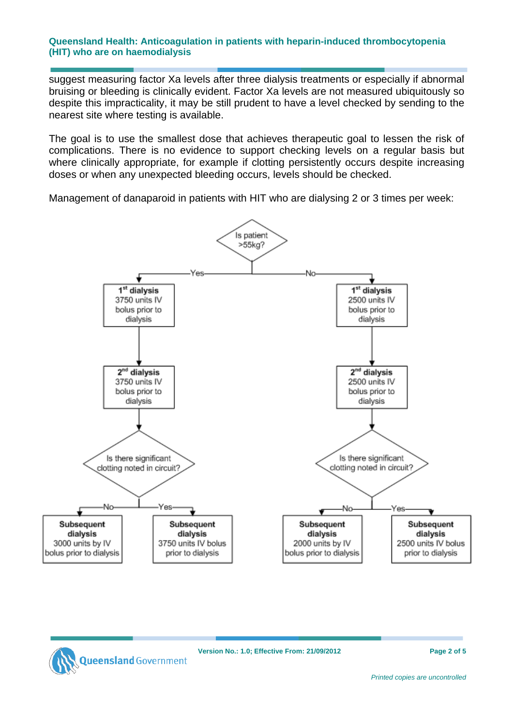#### **Queensland Health: Anticoagulation in patients with heparin-induced thrombocytopenia (HIT) who are on haemodialysis**

suggest measuring factor Xa levels after three dialysis treatments or especially if abnormal bruising or bleeding is clinically evident. Factor Xa levels are not measured ubiquitously so despite this impracticality, it may be still prudent to have a level checked by sending to the nearest site where testing is available.

The goal is to use the smallest dose that achieves therapeutic goal to lessen the risk of complications. There is no evidence to support checking levels on a regular basis but where clinically appropriate, for example if clotting persistently occurs despite increasing doses or when any unexpected bleeding occurs, levels should be checked.

Management of danaparoid in patients with HIT who are dialysing 2 or 3 times per week:



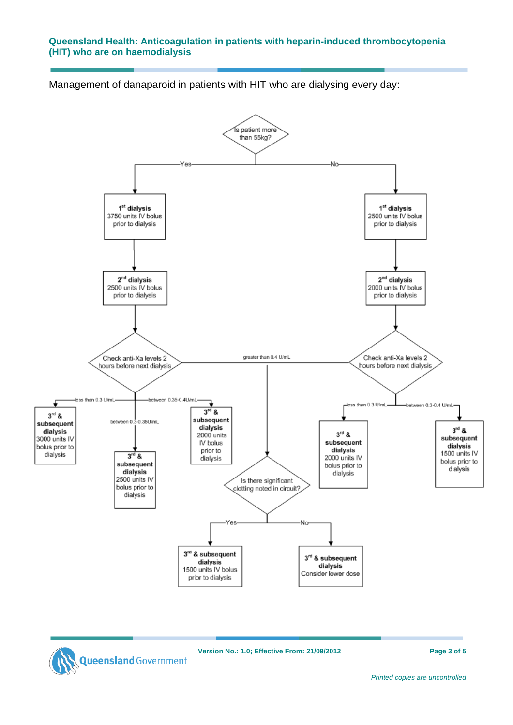#### **Queensland Health: Anticoagulation in patients with heparin-induced thrombocytopenia (HIT) who are on haemodialysis**

Management of danaparoid in patients with HIT who are dialysing every day:

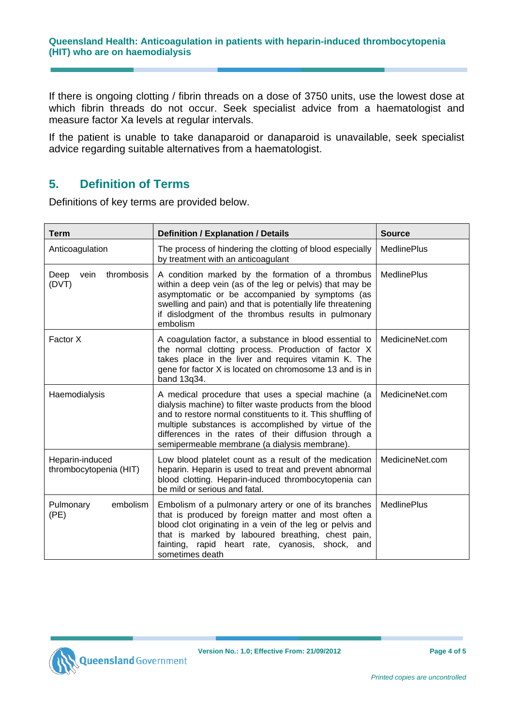If there is ongoing clotting / fibrin threads on a dose of 3750 units, use the lowest dose at which fibrin threads do not occur. Seek specialist advice from a haematologist and measure factor Xa levels at regular intervals.

If the patient is unable to take danaparoid or danaparoid is unavailable, seek specialist advice regarding suitable alternatives from a haematologist.

# **5. Definition of Terms**

Definitions of key terms are provided below.

| Term                                                                                                                                                                                                                                                                                                                                     | <b>Definition / Explanation / Details</b>                                                                                                                                                                                                                                                                                                        | <b>Source</b>      |
|------------------------------------------------------------------------------------------------------------------------------------------------------------------------------------------------------------------------------------------------------------------------------------------------------------------------------------------|--------------------------------------------------------------------------------------------------------------------------------------------------------------------------------------------------------------------------------------------------------------------------------------------------------------------------------------------------|--------------------|
| Anticoagulation                                                                                                                                                                                                                                                                                                                          | The process of hindering the clotting of blood especially<br>by treatment with an anticoagulant                                                                                                                                                                                                                                                  | <b>MedlinePlus</b> |
| thrombosis<br>A condition marked by the formation of a thrombus<br>Deep<br>vein<br>within a deep vein (as of the leg or pelvis) that may be<br>(DVT)<br>asymptomatic or be accompanied by symptoms (as<br>swelling and pain) and that is potentially life threatening<br>if dislodgment of the thrombus results in pulmonary<br>embolism |                                                                                                                                                                                                                                                                                                                                                  | <b>MedlinePlus</b> |
| Factor X                                                                                                                                                                                                                                                                                                                                 | A coagulation factor, a substance in blood essential to<br>the normal clotting process. Production of factor X<br>takes place in the liver and requires vitamin K. The<br>gene for factor X is located on chromosome 13 and is in<br>band 13q34.                                                                                                 | MedicineNet.com    |
| Haemodialysis                                                                                                                                                                                                                                                                                                                            | A medical procedure that uses a special machine (a<br>dialysis machine) to filter waste products from the blood<br>and to restore normal constituents to it. This shuffling of<br>multiple substances is accomplished by virtue of the<br>differences in the rates of their diffusion through a<br>semipermeable membrane (a dialysis membrane). | MedicineNet.com    |
| Heparin-induced<br>thrombocytopenia (HIT)                                                                                                                                                                                                                                                                                                | Low blood platelet count as a result of the medication<br>heparin. Heparin is used to treat and prevent abnormal<br>blood clotting. Heparin-induced thrombocytopenia can<br>be mild or serious and fatal.                                                                                                                                        | MedicineNet.com    |
| embolism<br>Pulmonary<br>(PE)                                                                                                                                                                                                                                                                                                            | Embolism of a pulmonary artery or one of its branches<br>that is produced by foreign matter and most often a<br>blood clot originating in a vein of the leg or pelvis and<br>that is marked by laboured breathing, chest pain,<br>fainting, rapid heart rate, cyanosis, shock, and<br>sometimes death                                            | <b>MedlinePlus</b> |



**Version No.: 1.0; Effective From: 21/09/2012 Page 4 of 5**